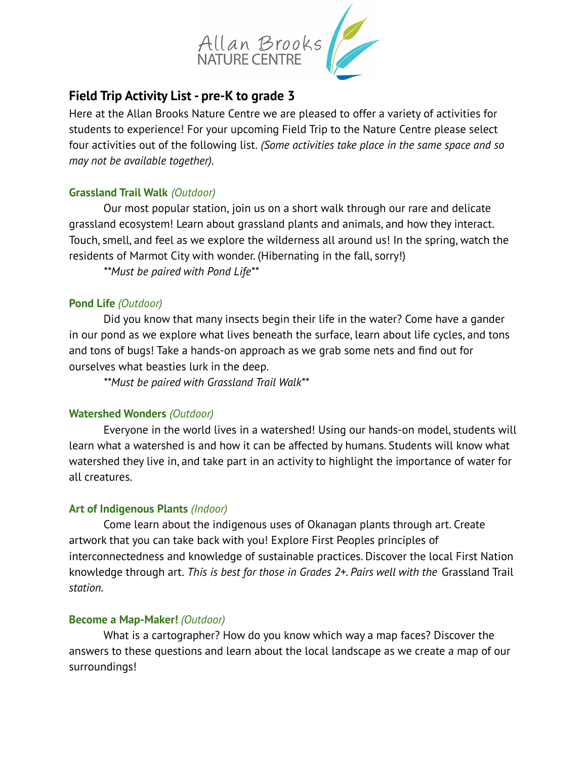

# **Field Trip Activity List - pre-K to grade 3**

Here at the Allan Brooks Nature Centre we are pleased to offer a variety of activities for students to experience! For your upcoming Field Trip to the Nature Centre please select four activities out of the following list. *(Some activities take place in the same space and so may not be available together).*

# **Grassland Trail Walk** *(Outdoor)*

Our most popular station, join us on a short walk through our rare and delicate grassland ecosystem! Learn about grassland plants and animals, and how they interact. Touch, smell, and feel as we explore the wilderness all around us! In the spring, watch the residents of Marmot City with wonder. (Hibernating in the fall, sorry!)

*\*\*Must be paired with Pond Life\*\**

# **Pond Life** *(Outdoor)*

Did you know that many insects begin their life in the water? Come have a gander in our pond as we explore what lives beneath the surface, learn about life cycles, and tons and tons of bugs! Take a hands-on approach as we grab some nets and find out for ourselves what beasties lurk in the deep.

*\*\*Must be paired with Grassland Trail Walk\*\**

# **Watershed Wonders** *(Outdoor)*

Everyone in the world lives in a watershed! Using our hands-on model, students will learn what a watershed is and how it can be affected by humans. Students will know what watershed they live in, and take part in an activity to highlight the importance of water for all creatures.

# **Art of Indigenous Plants** *(Indoor)*

Come learn about the indigenous uses of Okanagan plants through art. Create artwork that you can take back with you! Explore First Peoples principles of interconnectedness and knowledge of sustainable practices. Discover the local First Nation knowledge through art. *This is best for those in Grades 2+. Pairs well with the* Grassland Trail *station.*

# **Become a Map-Maker!** *(Outdoor)*

What is a cartographer? How do you know which way a map faces? Discover the answers to these questions and learn about the local landscape as we create a map of our surroundings!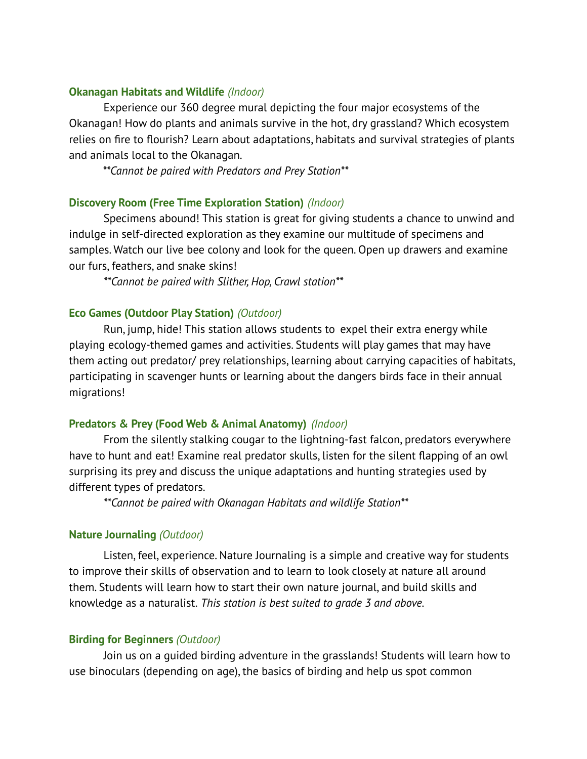### **Okanagan Habitats and Wildlife** *(Indoor)*

Experience our 360 degree mural depicting the four major ecosystems of the Okanagan! How do plants and animals survive in the hot, dry grassland? Which ecosystem relies on fire to flourish? Learn about adaptations, habitats and survival strategies of plants and animals local to the Okanagan.

*\*\*Cannot be paired with Predators and Prey Station\*\**

### **Discovery Room (Free Time Exploration Station)** *(Indoor)*

Specimens abound! This station is great for giving students a chance to unwind and indulge in self-directed exploration as they examine our multitude of specimens and samples. Watch our live bee colony and look for the queen. Open up drawers and examine our furs, feathers, and snake skins!

*\*\*Cannot be paired with Slither, Hop, Crawl station\*\**

### **Eco Games (Outdoor Play Station)** *(Outdoor)*

Run, jump, hide! This station allows students to expel their extra energy while playing ecology-themed games and activities. Students will play games that may have them acting out predator/ prey relationships, learning about carrying capacities of habitats, participating in scavenger hunts or learning about the dangers birds face in their annual migrations!

#### **Predators & Prey (Food Web & Animal Anatomy)** *(Indoor)*

From the silently stalking cougar to the lightning-fast falcon, predators everywhere have to hunt and eat! Examine real predator skulls, listen for the silent flapping of an owl surprising its prey and discuss the unique adaptations and hunting strategies used by different types of predators.

*\*\*Cannot be paired with Okanagan Habitats and wildlife Station\*\**

# **Nature Journaling** *(Outdoor)*

Listen, feel, experience. Nature Journaling is a simple and creative way for students to improve their skills of observation and to learn to look closely at nature all around them. Students will learn how to start their own nature journal, and build skills and knowledge as a naturalist. *This station is best suited to grade 3 and above.*

#### **Birding for Beginners** *(Outdoor)*

Join us on a guided birding adventure in the grasslands! Students will learn how to use binoculars (depending on age), the basics of birding and help us spot common